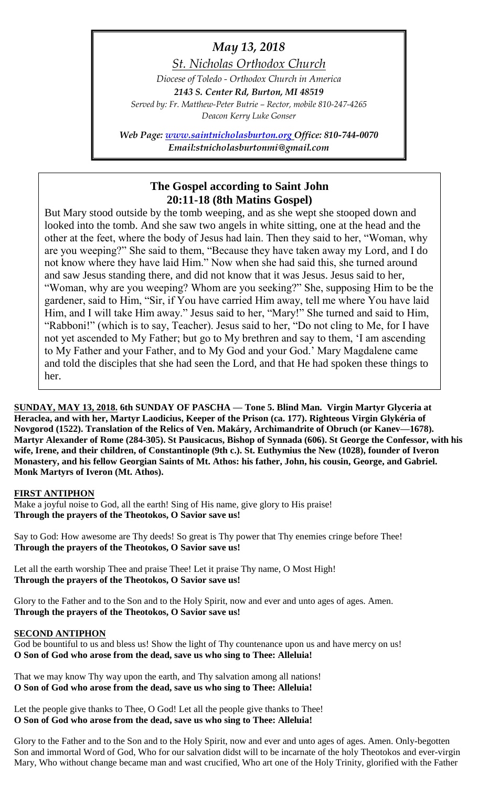# *May 13, 2018*

*St. Nicholas Orthodox Church*

*Diocese of Toledo - Orthodox Church in America 2143 S. Center Rd, Burton, MI 48519 Served by: Fr. Matthew-Peter Butrie – Rector, mobile 810-247-4265 Deacon Kerry Luke Gonser*

*Web Page: [www.saintnicholasburton.org](http://www.saintnicholasburton.org/) Office: 810-744-0070 Email:stnicholasburtonmi@gmail.com*

## **The Gospel according to Saint John 20:11-18 (8th Matins Gospel)**

But Mary stood outside by the tomb weeping, and as she wept she stooped down and looked into the tomb. And she saw two angels in white sitting, one at the head and the other at the feet, where the body of Jesus had lain. Then they said to her, "Woman, why are you weeping?" She said to them, "Because they have taken away my Lord, and I do not know where they have laid Him." Now when she had said this, she turned around and saw Jesus standing there, and did not know that it was Jesus. Jesus said to her, "Woman, why are you weeping? Whom are you seeking?" She, supposing Him to be the gardener, said to Him, "Sir, if You have carried Him away, tell me where You have laid Him, and I will take Him away." Jesus said to her, "Mary!" She turned and said to Him, "Rabboni!" (which is to say, Teacher). Jesus said to her, "Do not cling to Me, for I have not yet ascended to My Father; but go to My brethren and say to them, 'I am ascending to My Father and your Father, and to My God and your God.' Mary Magdalene came and told the disciples that she had seen the Lord, and that He had spoken these things to her.

**SUNDAY, MAY 13, 2018. 6th SUNDAY OF PASCHA — Tone 5. Blind Man. Virgin Martyr Glyceria at Heraclea, and with her, Martyr Laodicius, Keeper of the Prison (ca. 177). Righteous Virgin Glykéria of Novgorod (1522). Translation of the Relics of Ven. Makáry, Archimandrite of Obruch (or Kanev—1678). Martyr Alexander of Rome (284-305). St Pausicacus, Bishop of Synnada (606). St George the Confessor, with his wife, Irene, and their children, of Constantinople (9th c.). St. Euthymius the New (1028), founder of Iveron Monastery, and his fellow Georgian Saints of Mt. Athos: his father, John, his cousin, George, and Gabriel. Monk Martyrs of Iveron (Mt. Athos).** 

### **FIRST ANTIPHON**

Make a joyful noise to God, all the earth! Sing of His name, give glory to His praise! **Through the prayers of the Theotokos, O Savior save us!**

Say to God: How awesome are Thy deeds! So great is Thy power that Thy enemies cringe before Thee! **Through the prayers of the Theotokos, O Savior save us!**

Let all the earth worship Thee and praise Thee! Let it praise Thy name, O Most High! **Through the prayers of the Theotokos, O Savior save us!**

Glory to the Father and to the Son and to the Holy Spirit, now and ever and unto ages of ages. Amen. **Through the prayers of the Theotokos, O Savior save us!**

### **SECOND ANTIPHON**

God be bountiful to us and bless us! Show the light of Thy countenance upon us and have mercy on us! **O Son of God who arose from the dead, save us who sing to Thee: Alleluia!**

That we may know Thy way upon the earth, and Thy salvation among all nations! **O Son of God who arose from the dead, save us who sing to Thee: Alleluia!**

Let the people give thanks to Thee, O God! Let all the people give thanks to Thee! **O Son of God who arose from the dead, save us who sing to Thee: Alleluia!**

Glory to the Father and to the Son and to the Holy Spirit, now and ever and unto ages of ages. Amen. Only-begotten Son and immortal Word of God, Who for our salvation didst will to be incarnate of the holy Theotokos and ever-virgin Mary, Who without change became man and wast crucified, Who art one of the Holy Trinity, glorified with the Father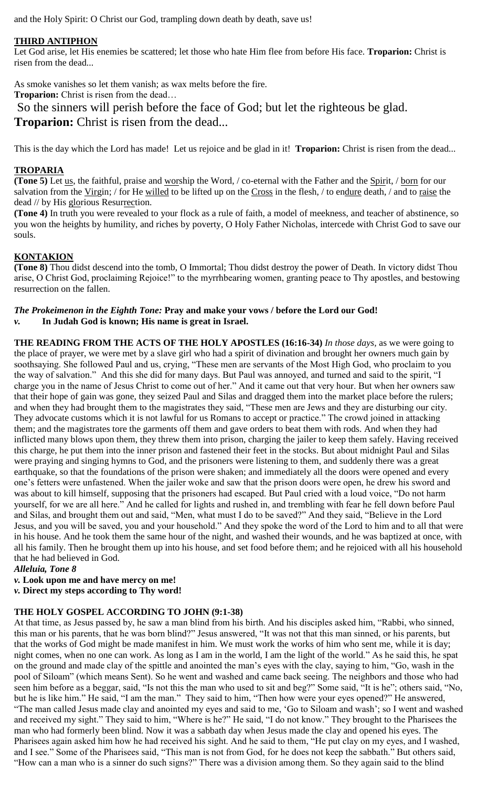and the Holy Spirit: O Christ our God, trampling down death by death, save us!

### **THIRD ANTIPHON**

Let God arise, let His enemies be scattered; let those who hate Him flee from before His face. **Troparion:** Christ is risen from the dead...

As smoke vanishes so let them vanish; as wax melts before the fire. **Troparion:** Christ is risen from the dead…

So the sinners will perish before the face of God; but let the righteous be glad. **Troparion:** Christ is risen from the dead...

This is the day which the Lord has made! Let us rejoice and be glad in it! **Troparion:** Christ is risen from the dead...

#### **TROPARIA**

**(Tone 5)** Let us, the faithful, praise and worship the Word, / co-eternal with the Father and the Spirit, / born for our salvation from the Virgin; / for He willed to be lifted up on the Cross in the flesh, / to endure death, / and to raise the dead // by His glorious Resurrection.

**(Tone 4)** In truth you were revealed to your flock as a rule of faith, a model of meekness, and teacher of abstinence, so you won the heights by humility, and riches by poverty, O Holy Father Nicholas, intercede with Christ God to save our souls.

### **KONTAKION**

**(Tone 8)** Thou didst descend into the tomb, O Immortal; Thou didst destroy the power of Death. In victory didst Thou arise, O Christ God, proclaiming Rejoice!" to the myrrhbearing women, granting peace to Thy apostles, and bestowing resurrection on the fallen.

#### *The Prokeimenon in the Eighth Tone:* **Pray and make your vows / before the Lord our God!** *v.* **In Judah God is known; His name is great in Israel.**

**THE READING FROM THE ACTS OF THE HOLY APOSTLES (16:16-34)** *In those days,* as we were going to the place of prayer, we were met by a slave girl who had a spirit of divination and brought her owners much gain by soothsaying. She followed Paul and us, crying, "These men are servants of the Most High God, who proclaim to you the way of salvation." And this she did for many days. But Paul was annoyed, and turned and said to the spirit, "I charge you in the name of Jesus Christ to come out of her." And it came out that very hour. But when her owners saw that their hope of gain was gone, they seized Paul and Silas and dragged them into the market place before the rulers; and when they had brought them to the magistrates they said, "These men are Jews and they are disturbing our city. They advocate customs which it is not lawful for us Romans to accept or practice." The crowd joined in attacking them; and the magistrates tore the garments off them and gave orders to beat them with rods. And when they had inflicted many blows upon them, they threw them into prison, charging the jailer to keep them safely. Having received this charge, he put them into the inner prison and fastened their feet in the stocks. But about midnight Paul and Silas were praying and singing hymns to God, and the prisoners were listening to them, and suddenly there was a great earthquake, so that the foundations of the prison were shaken; and immediately all the doors were opened and every one's fetters were unfastened. When the jailer woke and saw that the prison doors were open, he drew his sword and was about to kill himself, supposing that the prisoners had escaped. But Paul cried with a loud voice, "Do not harm yourself, for we are all here." And he called for lights and rushed in, and trembling with fear he fell down before Paul and Silas, and brought them out and said, "Men, what must I do to be saved?" And they said, "Believe in the Lord Jesus, and you will be saved, you and your household." And they spoke the word of the Lord to him and to all that were in his house. And he took them the same hour of the night, and washed their wounds, and he was baptized at once, with all his family. Then he brought them up into his house, and set food before them; and he rejoiced with all his household that he had believed in God.

#### *Alleluia, Tone 8*

*v.* **Look upon me and have mercy on me!**

*v.* **Direct my steps according to Thy word!**

### **THE HOLY GOSPEL ACCORDING TO JOHN (9:1-38)**

At that time, as Jesus passed by, he saw a man blind from his birth. And his disciples asked him, "Rabbi, who sinned, this man or his parents, that he was born blind?" Jesus answered, "It was not that this man sinned, or his parents, but that the works of God might be made manifest in him. We must work the works of him who sent me, while it is day; night comes, when no one can work. As long as I am in the world, I am the light of the world." As he said this, he spat on the ground and made clay of the spittle and anointed the man's eyes with the clay, saying to him, "Go, wash in the pool of Siloam" (which means Sent). So he went and washed and came back seeing. The neighbors and those who had seen him before as a beggar, said, "Is not this the man who used to sit and beg?" Some said, "It is he"; others said, "No, but he is like him." He said, "I am the man." They said to him, "Then how were your eyes opened?" He answered, "The man called Jesus made clay and anointed my eyes and said to me, 'Go to Siloam and wash'; so I went and washed and received my sight." They said to him, "Where is he?" He said, "I do not know." They brought to the Pharisees the man who had formerly been blind. Now it was a sabbath day when Jesus made the clay and opened his eyes. The Pharisees again asked him how he had received his sight. And he said to them, "He put clay on my eyes, and I washed, and I see." Some of the Pharisees said, "This man is not from God, for he does not keep the sabbath." But others said, "How can a man who is a sinner do such signs?" There was a division among them. So they again said to the blind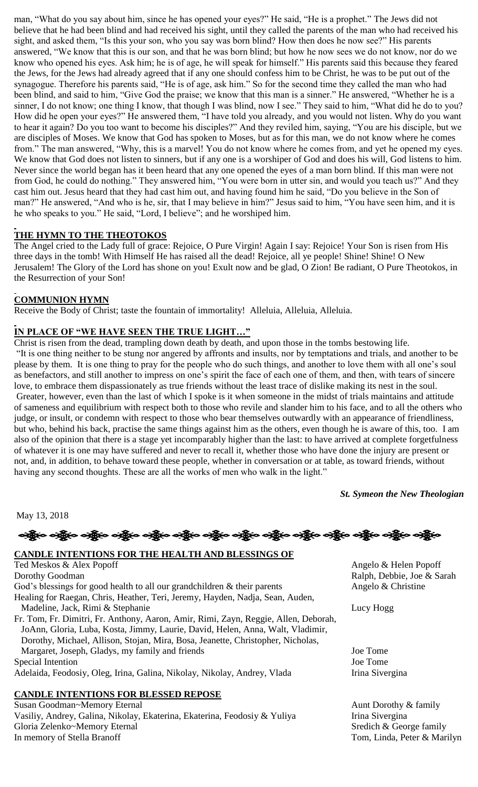man, "What do you say about him, since he has opened your eyes?" He said, "He is a prophet." The Jews did not believe that he had been blind and had received his sight, until they called the parents of the man who had received his sight, and asked them, "Is this your son, who you say was born blind? How then does he now see?" His parents answered, "We know that this is our son, and that he was born blind; but how he now sees we do not know, nor do we know who opened his eyes. Ask him; he is of age, he will speak for himself." His parents said this because they feared the Jews, for the Jews had already agreed that if any one should confess him to be Christ, he was to be put out of the synagogue. Therefore his parents said, "He is of age, ask him." So for the second time they called the man who had been blind, and said to him, "Give God the praise; we know that this man is a sinner." He answered, "Whether he is a sinner, I do not know; one thing I know, that though I was blind, now I see." They said to him, "What did he do to you? How did he open your eyes?" He answered them, "I have told you already, and you would not listen. Why do you want to hear it again? Do you too want to become his disciples?" And they reviled him, saying, "You are his disciple, but we are disciples of Moses. We know that God has spoken to Moses, but as for this man, we do not know where he comes from." The man answered, "Why, this is a marvel! You do not know where he comes from, and yet he opened my eyes. We know that God does not listen to sinners, but if any one is a worshiper of God and does his will, God listens to him. Never since the world began has it been heard that any one opened the eyes of a man born blind. If this man were not from God, he could do nothing." They answered him, "You were born in utter sin, and would you teach us?" And they cast him out. Jesus heard that they had cast him out, and having found him he said, "Do you believe in the Son of man?" He answered, "And who is he, sir, that I may believe in him?" Jesus said to him, "You have seen him, and it is he who speaks to you." He said, "Lord, I believe"; and he worshiped him.

### **THE HYMN TO THE THEOTOKOS**

The Angel cried to the Lady full of grace: Rejoice, O Pure Virgin! Again I say: Rejoice! Your Son is risen from His three days in the tomb! With Himself He has raised all the dead! Rejoice, all ye people! Shine! Shine! O New Jerusalem! The Glory of the Lord has shone on you! Exult now and be glad, O Zion! Be radiant, O Pure Theotokos, in the Resurrection of your Son!

## **COMMUNION HYMN**

Receive the Body of Christ; taste the fountain of immortality! Alleluia, Alleluia, Alleluia.

## **IN PLACE OF "WE HAVE SEEN THE TRUE LIGHT…"**

Christ is risen from the dead, trampling down death by death, and upon those in the tombs bestowing life. "It is one thing neither to be stung nor angered by affronts and insults, nor by temptations and trials, and another to be please by them. It is one thing to pray for the people who do such things, and another to love them with all one's soul as benefactors, and still another to impress on one's spirit the face of each one of them, and then, with tears of sincere love, to embrace them dispassionately as true friends without the least trace of dislike making its nest in the soul. Greater, however, even than the last of which I spoke is it when someone in the midst of trials maintains and attitude of sameness and equilibrium with respect both to those who revile and slander him to his face, and to all the others who judge, or insult, or condemn with respect to those who bear themselves outwardly with an appearance of friendliness, but who, behind his back, practise the same things against him as the others, even though he is aware of this, too. I am also of the opinion that there is a stage yet incomparably higher than the last: to have arrived at complete forgetfulness of whatever it is one may have suffered and never to recall it, whether those who have done the injury are present or not, and, in addition, to behave toward these people, whether in conversation or at table, as toward friends, without having any second thoughts. These are all the works of men who walk in the light."

*St. Symeon the New Theologian*

May 13, 2018

# ခရွိက ခရွိက ခရွိက သူမြို့ အသို့ အသို့ အသို့ အသို့ အသို့ အသို့ အသို့ အသို့ အသို့ အသို့ အသို့ အသို့ အသို့ အသို့

### **CANDLE INTENTIONS FOR THE HEALTH AND BLESSINGS OF**

Ted Meskos & Alex Popoff Angelo & Helen Popoff Angelo & Helen Popoff Angelo & Helen Popoff Angelo & Helen Popoff Angelo & Sa God's blessings for good health to all our grandchildren  $\&$  their parents Angelo  $\&$  Christine Healing for Raegan, Chris, Heather, Teri, Jeremy, Hayden, Nadja, Sean, Auden, Madeline, Jack, Rimi & Stephanie Lucy Hogg Fr. Tom, Fr. Dimitri, Fr. Anthony, Aaron, Amir, Rimi, Zayn, Reggie, Allen, Deborah, JoAnn, Gloria, Luba, Kosta, Jimmy, Laurie, David, Helen, Anna, Walt, Vladimir, Dorothy, Michael, Allison, Stojan, Mira, Bosa, Jeanette, Christopher, Nicholas, Margaret, Joseph, Gladys, my family and friends Joe Tome Special Intention Joe Tome Adelaida, Feodosiy, Oleg, Irina, Galina, Nikolay, Nikolay, Andrey, Vlada Irina Sivergina

## **CANDLE INTENTIONS FOR BLESSED REPOSE**

Susan Goodman~Memory Eternal Aunt Dorothy & family Vasiliy, Andrey, Galina, Nikolay, Ekaterina, Ekaterina, Feodosiy & Yuliya Irina Sivergina Gloria Zelenko~Memory Eternal Sredich & George family In memory of Stella Branoff Tom, Linda, Peter & Marilyn

Ralph, Debbie, Joe & Sarah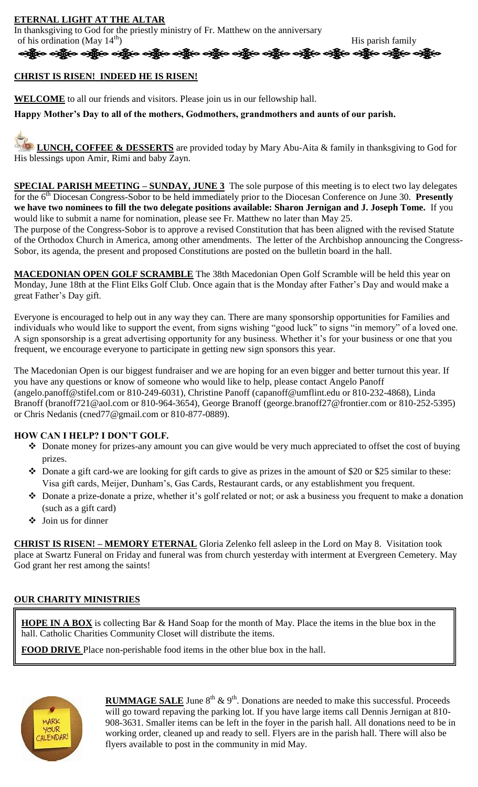## **ETERNAL LIGHT AT THE ALTAR**

In thanksgiving to God for the priestly ministry of Fr. Matthew on the anniversary of his ordination (May 14<sup>th</sup>)<br> **• His parish family**<br>
• <del>وَكِلِّوْتِ وَكِلِّوْتِ وَكُلِّوْتِ وَكُلِّوْتِ وَكُلِّيْتِ وَكُلِّيْتِ وَكُلِّيْتِ وَكُلِّيْتِ وَكُلِيْتِهِ</del>

## **CHRIST IS RISEN! INDEED HE IS RISEN!**

**WELCOME** to all our friends and visitors. Please join us in our fellowship hall.

**Happy Mother's Day to all of the mothers, Godmothers, grandmothers and aunts of our parish.** 

**LUNCH, COFFEE & DESSERTS** are provided today by Mary Abu-Aita & family in thanksgiving to God for His blessings upon Amir, Rimi and baby Zayn.

**SPECIAL PARISH MEETING – SUNDAY, JUNE 3** The sole purpose of this meeting is to elect two lay delegates for the 6<sup>th</sup> Diocesan Congress-Sobor to be held immediately prior to the Diocesan Conference on June 30. **Presently we have two nominees to fill the two delegate positions available: Sharon Jernigan and J. Joseph Tome.** If you would like to submit a name for nomination, please see Fr. Matthew no later than May 25.

The purpose of the Congress-Sobor is to approve a revised Constitution that has been aligned with the revised Statute of the Orthodox Church in America, among other amendments. The letter of the Archbishop announcing the Congress-Sobor, its agenda, the present and proposed Constitutions are posted on the bulletin board in the hall.

**MACEDONIAN OPEN GOLF SCRAMBLE** The 38th Macedonian Open Golf Scramble will be held this year on Monday, June 18th at the Flint Elks Golf Club. Once again that is the Monday after Father's Day and would make a great Father's Day gift.

Everyone is encouraged to help out in any way they can. There are many sponsorship opportunities for Families and individuals who would like to support the event, from signs wishing "good luck" to signs "in memory" of a loved one. A sign sponsorship is a great advertising opportunity for any business. Whether it's for your business or one that you frequent, we encourage everyone to participate in getting new sign sponsors this year.

The Macedonian Open is our biggest fundraiser and we are hoping for an even bigger and better turnout this year. If you have any questions or know of someone who would like to help, please contact Angelo Panoff (angelo.panoff@stifel.com or 810-249-6031), Christine Panoff (capanoff@umflint.edu or 810-232-4868), Linda Branoff (branoff721@aol.com or 810-964-3654), George Branoff (george.branoff27@frontier.com or 810-252-5395) or Chris Nedanis (cned77@gmail.com or 810-877-0889).

### **HOW CAN I HELP? I DON'T GOLF.**

- Donate money for prizes-any amount you can give would be very much appreciated to offset the cost of buying prizes.
- Donate a gift card-we are looking for gift cards to give as prizes in the amount of \$20 or \$25 similar to these: Visa gift cards, Meijer, Dunham's, Gas Cards, Restaurant cards, or any establishment you frequent.
- $\bullet$  Donate a prize-donate a prize, whether it's golf related or not; or ask a business you frequent to make a donation (such as a gift card)
- $\div$  Join us for dinner

**CHRIST IS RISEN! – MEMORY ETERNAL** Gloria Zelenko fell asleep in the Lord on May 8. Visitation took place at Swartz Funeral on Friday and funeral was from church yesterday with interment at Evergreen Cemetery. May God grant her rest among the saints!

### **OUR CHARITY MINISTRIES**

**HOPE IN A BOX** is collecting Bar & Hand Soap for the month of May. Place the items in the blue box in the hall. Catholic Charities Community Closet will distribute the items.

**FOOD DRIVE** Place non-perishable food items in the other blue box in the hall.



**RUMMAGE SALE** June  $8^{th}$  &  $9^{th}$ . Donations are needed to make this successful. Proceeds will go toward repaving the parking lot. If you have large items call Dennis Jernigan at 810- 908-3631. Smaller items can be left in the foyer in the parish hall. All donations need to be in working order, cleaned up and ready to sell. Flyers are in the parish hall. There will also be flyers available to post in the community in mid May.